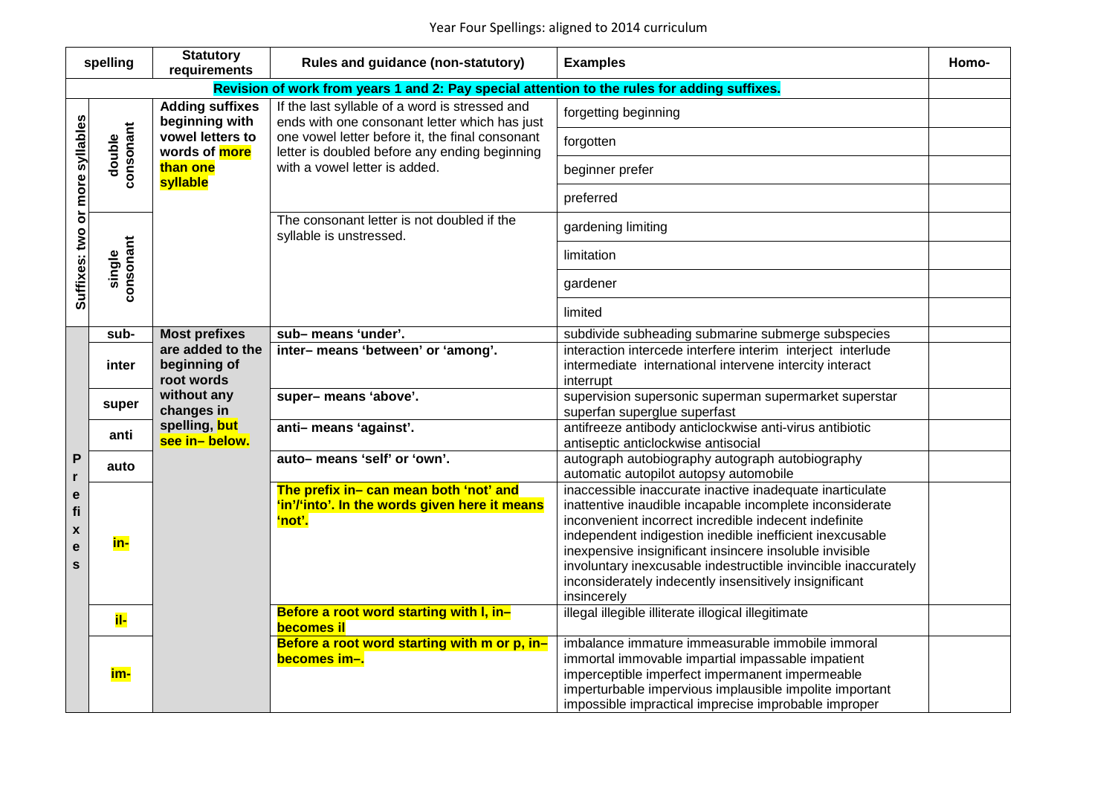| spelling                                                                                     |                     | <b>Statutory</b><br>requirements                                                                      | <b>Rules and guidance (non-statutory)</b>                                                                                                                                                                                            | <b>Examples</b>                                                                                                                                                                                                                                                                                                                                                                                                                                 | Homo- |  |
|----------------------------------------------------------------------------------------------|---------------------|-------------------------------------------------------------------------------------------------------|--------------------------------------------------------------------------------------------------------------------------------------------------------------------------------------------------------------------------------------|-------------------------------------------------------------------------------------------------------------------------------------------------------------------------------------------------------------------------------------------------------------------------------------------------------------------------------------------------------------------------------------------------------------------------------------------------|-------|--|
| Revision of work from years 1 and 2: Pay special attention to the rules for adding suffixes. |                     |                                                                                                       |                                                                                                                                                                                                                                      |                                                                                                                                                                                                                                                                                                                                                                                                                                                 |       |  |
| Suffixes: two or more syllables                                                              | consonant<br>double | <b>Adding suffixes</b><br>beginning with<br>vowel letters to<br>words of more<br>than one<br>syllable | If the last syllable of a word is stressed and<br>ends with one consonant letter which has just<br>one vowel letter before it, the final consonant<br>letter is doubled before any ending beginning<br>with a vowel letter is added. | forgetting beginning                                                                                                                                                                                                                                                                                                                                                                                                                            |       |  |
|                                                                                              |                     |                                                                                                       |                                                                                                                                                                                                                                      | forgotten                                                                                                                                                                                                                                                                                                                                                                                                                                       |       |  |
|                                                                                              |                     |                                                                                                       |                                                                                                                                                                                                                                      | beginner prefer                                                                                                                                                                                                                                                                                                                                                                                                                                 |       |  |
|                                                                                              |                     |                                                                                                       |                                                                                                                                                                                                                                      | preferred                                                                                                                                                                                                                                                                                                                                                                                                                                       |       |  |
|                                                                                              | single<br>consonant |                                                                                                       | The consonant letter is not doubled if the<br>syllable is unstressed.                                                                                                                                                                | gardening limiting                                                                                                                                                                                                                                                                                                                                                                                                                              |       |  |
|                                                                                              |                     |                                                                                                       |                                                                                                                                                                                                                                      | limitation                                                                                                                                                                                                                                                                                                                                                                                                                                      |       |  |
|                                                                                              |                     |                                                                                                       |                                                                                                                                                                                                                                      | gardener                                                                                                                                                                                                                                                                                                                                                                                                                                        |       |  |
|                                                                                              |                     |                                                                                                       |                                                                                                                                                                                                                                      | limited                                                                                                                                                                                                                                                                                                                                                                                                                                         |       |  |
|                                                                                              | sub-                | <b>Most prefixes</b>                                                                                  | sub-means 'under'.                                                                                                                                                                                                                   | subdivide subheading submarine submerge subspecies                                                                                                                                                                                                                                                                                                                                                                                              |       |  |
| P<br>r<br>e<br>fi<br>$\pmb{\mathsf{x}}$<br>e<br>S                                            | inter               | are added to the<br>beginning of<br>root words                                                        | inter-means 'between' or 'among'.                                                                                                                                                                                                    | interaction intercede interfere interim interject interlude<br>intermediate international intervene intercity interact<br>interrupt                                                                                                                                                                                                                                                                                                             |       |  |
|                                                                                              | super               | without any<br>changes in                                                                             | super-means 'above'.                                                                                                                                                                                                                 | supervision supersonic superman supermarket superstar<br>superfan superglue superfast                                                                                                                                                                                                                                                                                                                                                           |       |  |
|                                                                                              | anti                | spelling, but<br>see in-below.                                                                        | anti-means 'against'.                                                                                                                                                                                                                | antifreeze antibody anticlockwise anti-virus antibiotic<br>antiseptic anticlockwise antisocial                                                                                                                                                                                                                                                                                                                                                  |       |  |
|                                                                                              | auto                |                                                                                                       | auto-means 'self' or 'own'.                                                                                                                                                                                                          | autograph autobiography autograph autobiography<br>automatic autopilot autopsy automobile                                                                                                                                                                                                                                                                                                                                                       |       |  |
|                                                                                              | in-                 |                                                                                                       | The prefix in- can mean both 'not' and<br>'in'/'into'. In the words given here it means<br>'not'.                                                                                                                                    | inaccessible inaccurate inactive inadequate inarticulate<br>inattentive inaudible incapable incomplete inconsiderate<br>inconvenient incorrect incredible indecent indefinite<br>independent indigestion inedible inefficient inexcusable<br>inexpensive insignificant insincere insoluble invisible<br>involuntary inexcusable indestructible invincible inaccurately<br>inconsiderately indecently insensitively insignificant<br>insincerely |       |  |
|                                                                                              | il-                 |                                                                                                       | Before a root word starting with I, in-<br><b>becomes il</b>                                                                                                                                                                         | illegal illegible illiterate illogical illegitimate                                                                                                                                                                                                                                                                                                                                                                                             |       |  |
|                                                                                              | im-                 |                                                                                                       | Before a root word starting with m or p, in-<br>becomes im-.                                                                                                                                                                         | imbalance immature immeasurable immobile immoral<br>immortal immovable impartial impassable impatient<br>imperceptible imperfect impermanent impermeable<br>imperturbable impervious implausible impolite important<br>impossible impractical imprecise improbable improper                                                                                                                                                                     |       |  |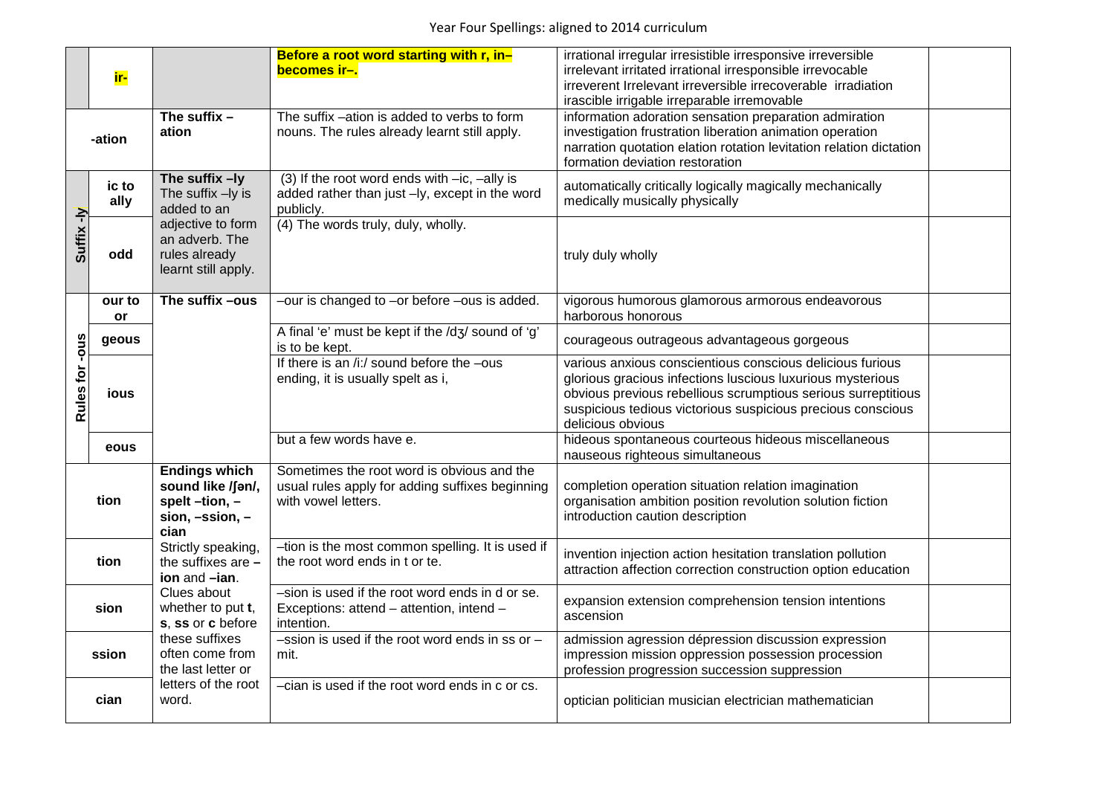|                | ir-           |                                                                                        | Before a root word starting with r, in-<br>becomes ir-.                                                              | irrational irregular irresistible irresponsive irreversible<br>irrelevant irritated irrational irresponsible irrevocable<br>irreverent Irrelevant irreversible irrecoverable irradiation<br>irascible irrigable irreparable irremovable                                      |  |
|----------------|---------------|----------------------------------------------------------------------------------------|----------------------------------------------------------------------------------------------------------------------|------------------------------------------------------------------------------------------------------------------------------------------------------------------------------------------------------------------------------------------------------------------------------|--|
| -ation         |               | The suffix $-$<br>ation                                                                | The suffix -ation is added to verbs to form<br>nouns. The rules already learnt still apply.                          | information adoration sensation preparation admiration<br>investigation frustration liberation animation operation<br>narration quotation elation rotation levitation relation dictation<br>formation deviation restoration                                                  |  |
|                | ic to<br>ally | The suffix -ly<br>The suffix -ly is<br>added to an                                     | (3) If the root word ends with $-ic$ , $-ally$ is<br>added rather than just -ly, except in the word<br>publicly.     | automatically critically logically magically mechanically<br>medically musically physically                                                                                                                                                                                  |  |
| Suffix-ly      | odd           | adjective to form<br>an adverb. The<br>rules already<br>learnt still apply.            | (4) The words truly, duly, wholly.                                                                                   | truly duly wholly                                                                                                                                                                                                                                                            |  |
|                | our to<br>or  | The suffix -ous                                                                        | -our is changed to -or before -ous is added.                                                                         | vigorous humorous glamorous armorous endeavorous<br>harborous honorous                                                                                                                                                                                                       |  |
| Rules for -ous | geous         |                                                                                        | A final 'e' must be kept if the /dʒ/ sound of 'g'<br>is to be kept.                                                  | courageous outrageous advantageous gorgeous                                                                                                                                                                                                                                  |  |
|                | ious          |                                                                                        | If there is an /i:/ sound before the -ous<br>ending, it is usually spelt as i,                                       | various anxious conscientious conscious delicious furious<br>glorious gracious infections luscious luxurious mysterious<br>obvious previous rebellious scrumptious serious surreptitious<br>suspicious tedious victorious suspicious precious conscious<br>delicious obvious |  |
|                | eous          |                                                                                        | but a few words have e.                                                                                              | hideous spontaneous courteous hideous miscellaneous<br>nauseous righteous simultaneous                                                                                                                                                                                       |  |
| tion           |               | <b>Endings which</b><br>sound like /fan/,<br>spelt-tion,-<br>$sion, -ssion, -$<br>cian | Sometimes the root word is obvious and the<br>usual rules apply for adding suffixes beginning<br>with vowel letters. | completion operation situation relation imagination<br>organisation ambition position revolution solution fiction<br>introduction caution description                                                                                                                        |  |
| tion           |               | Strictly speaking,<br>the suffixes are $-$<br>ion and -ian.                            | -tion is the most common spelling. It is used if<br>the root word ends in t or te.                                   | invention injection action hesitation translation pollution<br>attraction affection correction construction option education                                                                                                                                                 |  |
| sion           |               | Clues about<br>whether to put t,<br>s, ss or c before                                  | -sion is used if the root word ends in d or se.<br>Exceptions: attend - attention, intend -<br>intention.            | expansion extension comprehension tension intentions<br>ascension                                                                                                                                                                                                            |  |
| ssion          |               | these suffixes<br>often come from<br>the last letter or                                | $-$ ssion is used if the root word ends in ss or $-$<br>mit.                                                         | admission agression dépression discussion expression<br>impression mission oppression possession procession<br>profession progression succession suppression                                                                                                                 |  |
| cian           |               | letters of the root<br>word.                                                           | -cian is used if the root word ends in c or cs.                                                                      | optician politician musician electrician mathematician                                                                                                                                                                                                                       |  |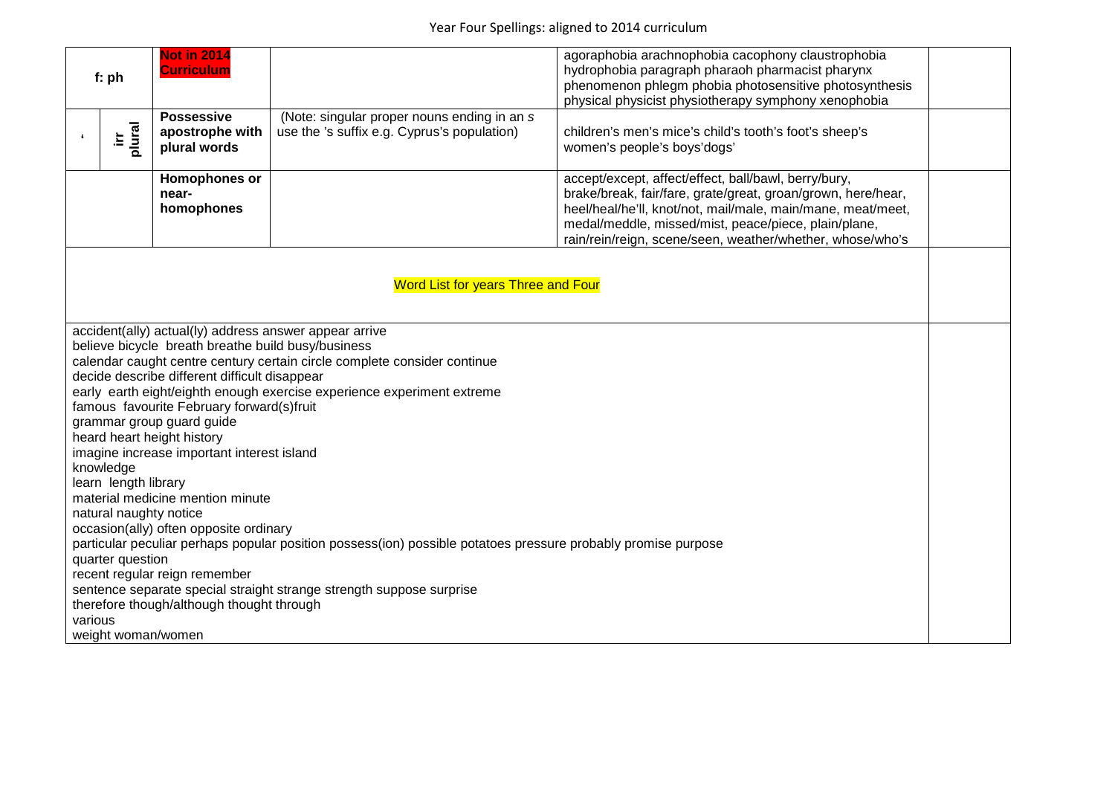| f: ph                                                                                                                                                                                                                                                                                                                                                                                                                                                                                                                                                                                                                                                                                                                                                                                                                                                                                                                                              | <b>Not in 2014</b><br><b>Curriculum</b>              |                                                                                            | agoraphobia arachnophobia cacophony claustrophobia<br>hydrophobia paragraph pharaoh pharmacist pharynx<br>phenomenon phlegm phobia photosensitive photosynthesis<br>physical physicist physiotherapy symphony xenophobia                                                                                 |  |  |  |
|----------------------------------------------------------------------------------------------------------------------------------------------------------------------------------------------------------------------------------------------------------------------------------------------------------------------------------------------------------------------------------------------------------------------------------------------------------------------------------------------------------------------------------------------------------------------------------------------------------------------------------------------------------------------------------------------------------------------------------------------------------------------------------------------------------------------------------------------------------------------------------------------------------------------------------------------------|------------------------------------------------------|--------------------------------------------------------------------------------------------|----------------------------------------------------------------------------------------------------------------------------------------------------------------------------------------------------------------------------------------------------------------------------------------------------------|--|--|--|
| plural<br>Ξ.                                                                                                                                                                                                                                                                                                                                                                                                                                                                                                                                                                                                                                                                                                                                                                                                                                                                                                                                       | <b>Possessive</b><br>apostrophe with<br>plural words | (Note: singular proper nouns ending in an s<br>use the 's suffix e.g. Cyprus's population) | children's men's mice's child's tooth's foot's sheep's<br>women's people's boys'dogs'                                                                                                                                                                                                                    |  |  |  |
|                                                                                                                                                                                                                                                                                                                                                                                                                                                                                                                                                                                                                                                                                                                                                                                                                                                                                                                                                    | Homophones or<br>near-<br>homophones                 |                                                                                            | accept/except, affect/effect, ball/bawl, berry/bury,<br>brake/break, fair/fare, grate/great, groan/grown, here/hear,<br>heel/heal/he'll, knot/not, mail/male, main/mane, meat/meet,<br>medal/meddle, missed/mist, peace/piece, plain/plane,<br>rain/rein/reign, scene/seen, weather/whether, whose/who's |  |  |  |
| Word List for years Three and Four                                                                                                                                                                                                                                                                                                                                                                                                                                                                                                                                                                                                                                                                                                                                                                                                                                                                                                                 |                                                      |                                                                                            |                                                                                                                                                                                                                                                                                                          |  |  |  |
| accident(ally) actual(ly) address answer appear arrive<br>believe bicycle breath breathe build busy/business<br>calendar caught centre century certain circle complete consider continue<br>decide describe different difficult disappear<br>early earth eight/eighth enough exercise experience experiment extreme<br>famous favourite February forward(s)fruit<br>grammar group guard guide<br>heard heart height history<br>imagine increase important interest island<br>knowledge<br>learn length library<br>material medicine mention minute<br>natural naughty notice<br>occasion(ally) often opposite ordinary<br>particular peculiar perhaps popular position possess(ion) possible potatoes pressure probably promise purpose<br>quarter question<br>recent regular reign remember<br>sentence separate special straight strange strength suppose surprise<br>therefore though/although thought through<br>various<br>weight woman/women |                                                      |                                                                                            |                                                                                                                                                                                                                                                                                                          |  |  |  |